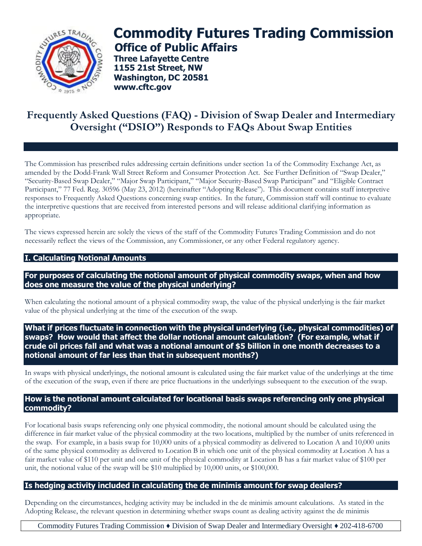

# **Commodity Futures Trading Commission Office of Public Affairs**

**Three Lafayette Centre 1155 21st Street, NW Washington, DC 20581 [www.cftc.gov](http://www.cftc.gov/)**

# **Frequently Asked Questions (FAQ) - Division of Swap Dealer and Intermediary Oversight ("DSIO") Responds to FAQs About Swap Entities**

The Commission has prescribed rules addressing certain definitions under section 1a of the Commodity Exchange Act, as amended by the Dodd-Frank Wall Street Reform and Consumer Protection Act. See Further Definition of "Swap Dealer," "Security-Based Swap Dealer," "Major Swap Participant," "Major Security-Based Swap Participant" and "Eligible Contract Participant," 77 Fed. Reg. 30596 (May 23, 2012) (hereinafter "Adopting Release"). This document contains staff interpretive responses to Frequently Asked Questions concerning swap entities. In the future, Commission staff will continue to evaluate the interpretive questions that are received from interested persons and will release additional clarifying information as appropriate.

The views expressed herein are solely the views of the staff of the Commodity Futures Trading Commission and do not necessarily reflect the views of the Commission, any Commissioner, or any other Federal regulatory agency.

# **I. Calculating Notional Amounts**

**For purposes of calculating the notional amount of physical commodity swaps, when and how does one measure the value of the physical underlying?**

When calculating the notional amount of a physical commodity swap, the value of the physical underlying is the fair market value of the physical underlying at the time of the execution of the swap.

**What if prices fluctuate in connection with the physical underlying (i.e., physical commodities) of swaps? How would that affect the dollar notional amount calculation? (For example, what if crude oil prices fall and what was a notional amount of \$5 billion in one month decreases to a notional amount of far less than that in subsequent months?)**

In swaps with physical underlyings, the notional amount is calculated using the fair market value of the underlyings at the time of the execution of the swap, even if there are price fluctuations in the underlyings subsequent to the execution of the swap.

#### **How is the notional amount calculated for locational basis swaps referencing only one physical commodity?**

For locational basis swaps referencing only one physical commodity, the notional amount should be calculated using the difference in fair market value of the physical commodity at the two locations, multiplied by the number of units referenced in the swap. For example, in a basis swap for 10,000 units of a physical commodity as delivered to Location A and 10,000 units of the same physical commodity as delivered to Location B in which one unit of the physical commodity at Location A has a fair market value of \$110 per unit and one unit of the physical commodity at Location B has a fair market value of \$100 per unit, the notional value of the swap will be \$10 multiplied by 10,000 units, or \$100,000.

# **Is hedging activity included in calculating the de minimis amount for swap dealers?**

Depending on the circumstances, hedging activity may be included in the de minimis amount calculations. As stated in the Adopting Release, the relevant question in determining whether swaps count as dealing activity against the de minimis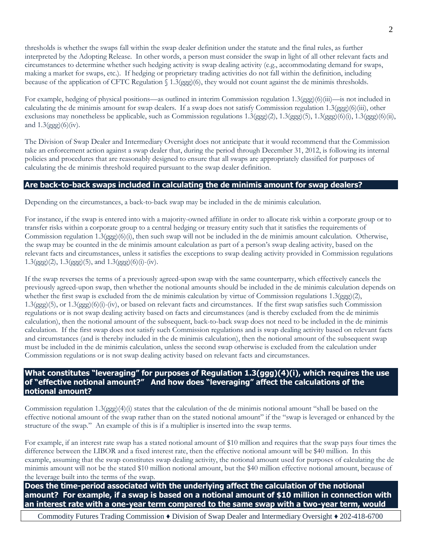thresholds is whether the swaps fall within the swap dealer definition under the statute and the final rules, as further interpreted by the Adopting Release. In other words, a person must consider the swap in light of all other relevant facts and circumstances to determine whether such hedging activity is swap dealing activity (e.g., accommodating demand for swaps, making a market for swaps, etc.). If hedging or proprietary trading activities do not fall within the definition, including because of the application of CFTC Regulation § 1.3(ggg)(6), they would not count against the de minimis thresholds.

For example, hedging of physical positions—as outlined in interim Commission regulation 1.3(ggg)(6)(iii)—is not included in calculating the de minimis amount for swap dealers. If a swap does not satisfy Commission regulation 1.3(ggg)(6)(iii), other exclusions may nonetheless be applicable, such as Commission regulations  $1.3(ggg)(2)$ ,  $1.3(ggg)(5)$ ,  $1.3(ggg)(6)(i)$ ,  $1.3(ggg)(6)(ii)$ , and  $1.3(ggg)(6)(iv)$ .

The Division of Swap Dealer and Intermediary Oversight does not anticipate that it would recommend that the Commission take an enforcement action against a swap dealer that, during the period through December 31, 2012, is following its internal policies and procedures that are reasonably designed to ensure that all swaps are appropriately classified for purposes of calculating the de minimis threshold required pursuant to the swap dealer definition.

#### **Are back-to-back swaps included in calculating the de minimis amount for swap dealers?**

Depending on the circumstances, a back-to-back swap may be included in the de minimis calculation.

For instance, if the swap is entered into with a majority-owned affiliate in order to allocate risk within a corporate group or to transfer risks within a corporate group to a central hedging or treasury entity such that it satisfies the requirements of Commission regulation  $1.3$ (ggg)(6)(i), then such swap will not be included in the de minimis amount calculation. Otherwise, the swap may be counted in the de minimis amount calculation as part of a person's swap dealing activity, based on the relevant facts and circumstances, unless it satisfies the exceptions to swap dealing activity provided in Commission regulations  $1.3(ggg)(2)$ ,  $1.3(ggg)(5)$ , and  $1.3(ggg)(6)(i)-(iv)$ .

If the swap reverses the terms of a previously agreed-upon swap with the same counterparty, which effectively cancels the previously agreed-upon swap, then whether the notional amounts should be included in the de minimis calculation depends on whether the first swap is excluded from the de minimis calculation by virtue of Commission regulations 1.3(ggg)(2), 1.3(ggg)(5), or 1.3(ggg)(6)(i)-(iv), or based on relevant facts and circumstances. If the first swap satisfies such Commission regulations or is not swap dealing activity based on facts and circumstances (and is thereby excluded from the de minimis calculation), then the notional amount of the subsequent, back-to-back swap does not need to be included in the de minimis calculation. If the first swap does not satisfy such Commission regulations and is swap dealing activity based on relevant facts and circumstances (and is thereby included in the de minimis calculation), then the notional amount of the subsequent swap must be included in the de minimis calculation, unless the second swap otherwise is excluded from the calculation under Commission regulations or is not swap dealing activity based on relevant facts and circumstances.

# **What constitutes "leveraging" for purposes of Regulation 1.3(ggg)(4)(i), which requires the use of "effective notional amount?" And how does "leveraging" affect the calculations of the notional amount?**

Commission regulation  $1.3(ggg)(4)(i)$  states that the calculation of the de minimis notional amount "shall be based on the effective notional amount of the swap rather than on the stated notional amount" if the "swap is leveraged or enhanced by the structure of the swap." An example of this is if a multiplier is inserted into the swap terms.

For example, if an interest rate swap has a stated notional amount of \$10 million and requires that the swap pays four times the difference between the LIBOR and a fixed interest rate, then the effective notional amount will be \$40 million. In this example, assuming that the swap constitutes swap dealing activity, the notional amount used for purposes of calculating the de minimis amount will not be the stated \$10 million notional amount, but the \$40 million effective notional amount, because of the leverage built into the terms of the swap.

**Does the time-period associated with the underlying affect the calculation of the notional amount? For example, if a swap is based on a notional amount of \$10 million in connection with an interest rate with a one-year term compared to the same swap with a two-year term, would**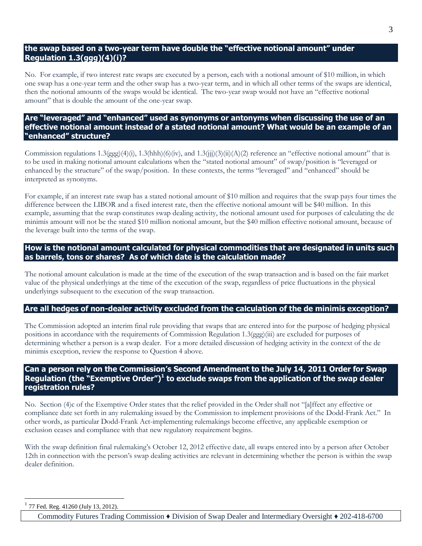#### **the swap based on a two-year term have double the "effective notional amount" under Regulation 1.3(ggg)(4)(i)?**

No. For example, if two interest rate swaps are executed by a person, each with a notional amount of \$10 million, in which one swap has a one-year term and the other swap has a two-year term, and in which all other terms of the swaps are identical, then the notional amounts of the swaps would be identical. The two-year swap would not have an "effective notional amount" that is double the amount of the one-year swap.

#### **Are "leveraged" and "enhanced" used as synonyms or antonyms when discussing the use of an effective notional amount instead of a stated notional amount? What would be an example of an "enhanced" structure?**

Commission regulations  $1.3(\text{ggg})(4)(i)$ ,  $1.3(\text{hhh})(6)(iv)$ , and  $1.3(iii)(3)(ii)(A)(2)$  reference an "effective notional amount" that is to be used in making notional amount calculations when the "stated notional amount" of swap/position is "leveraged or enhanced by the structure" of the swap/position. In these contexts, the terms "leveraged" and "enhanced" should be interpreted as synonyms.

For example, if an interest rate swap has a stated notional amount of \$10 million and requires that the swap pays four times the difference between the LIBOR and a fixed interest rate, then the effective notional amount will be \$40 million. In this example, assuming that the swap constitutes swap dealing activity, the notional amount used for purposes of calculating the de minimis amount will not be the stated \$10 million notional amount, but the \$40 million effective notional amount, because of the leverage built into the terms of the swap.

#### **How is the notional amount calculated for physical commodities that are designated in units such as barrels, tons or shares? As of which date is the calculation made?**

The notional amount calculation is made at the time of the execution of the swap transaction and is based on the fair market value of the physical underlyings at the time of the execution of the swap, regardless of price fluctuations in the physical underlyings subsequent to the execution of the swap transaction.

#### **Are all hedges of non-dealer activity excluded from the calculation of the de minimis exception?**

The Commission adopted an interim final rule providing that swaps that are entered into for the purpose of hedging physical positions in accordance with the requirements of Commission Regulation 1.3(ggg)(iii) are excluded for purposes of determining whether a person is a swap dealer. For a more detailed discussion of hedging activity in the context of the de minimis exception, review the response to Question 4 above.

#### **Can a person rely on the Commission's Second Amendment to the July 14, 2011 Order for Swap Regulation (the "Exemptive Order")<sup>1</sup> to exclude swaps from the application of the swap dealer registration rules?**

No. Section (4)c of the Exemptive Order states that the relief provided in the Order shall not "[a]ffect any effective or compliance date set forth in any rulemaking issued by the Commission to implement provisions of the Dodd-Frank Act." In other words, as particular Dodd-Frank Act-implementing rulemakings become effective, any applicable exemption or exclusion ceases and compliance with that new regulatory requirement begins.

With the swap definition final rulemaking's October 12, 2012 effective date, all swaps entered into by a person after October 12th in connection with the person's swap dealing activities are relevant in determining whether the person is within the swap dealer definition.

1 77 Fed. Reg. 41260 (July 13, 2012).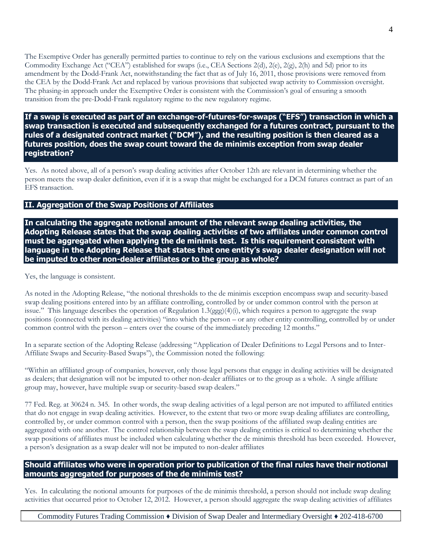The Exemptive Order has generally permitted parties to continue to rely on the various exclusions and exemptions that the Commodity Exchange Act ("CEA") established for swaps (i.e., CEA Sections 2(d), 2(e), 2(g), 2(h) and 5d) prior to its amendment by the Dodd-Frank Act, notwithstanding the fact that as of July 16, 2011, those provisions were removed from the CEA by the Dodd-Frank Act and replaced by various provisions that subjected swap activity to Commission oversight. The phasing-in approach under the Exemptive Order is consistent with the Commission's goal of ensuring a smooth transition from the pre-Dodd-Frank regulatory regime to the new regulatory regime.

**If a swap is executed as part of an exchange-of-futures-for-swaps ("EFS") transaction in which a swap transaction is executed and subsequently exchanged for a futures contract, pursuant to the rules of a designated contract market ("DCM"), and the resulting position is then cleared as a futures position, does the swap count toward the de minimis exception from swap dealer registration?**

Yes. As noted above, all of a person's swap dealing activities after October 12th are relevant in determining whether the person meets the swap dealer definition, even if it is a swap that might be exchanged for a DCM futures contract as part of an EFS transaction.

#### **II. Aggregation of the Swap Positions of Affiliates**

**In calculating the aggregate notional amount of the relevant swap dealing activities, the Adopting Release states that the swap dealing activities of two affiliates under common control must be aggregated when applying the de minimis test. Is this requirement consistent with language in the Adopting Release that states that one entity's swap dealer designation will not be imputed to other non-dealer affiliates or to the group as whole?**

Yes, the language is consistent.

As noted in the Adopting Release, "the notional thresholds to the de minimis exception encompass swap and security-based swap dealing positions entered into by an affiliate controlling, controlled by or under common control with the person at issue." This language describes the operation of Regulation 1.3(ggg)(4)(i), which requires a person to aggregate the swap positions (connected with its dealing activities) "into which the person – or any other entity controlling, controlled by or under common control with the person – enters over the course of the immediately preceding 12 months."

In a separate section of the Adopting Release (addressing "Application of Dealer Definitions to Legal Persons and to Inter-Affiliate Swaps and Security-Based Swaps"), the Commission noted the following:

"Within an affiliated group of companies, however, only those legal persons that engage in dealing activities will be designated as dealers; that designation will not be imputed to other non-dealer affiliates or to the group as a whole. A single affiliate group may, however, have multiple swap or security-based swap dealers."

77 Fed. Reg. at 30624 n. 345. In other words, the swap dealing activities of a legal person are not imputed to affiliated entities that do not engage in swap dealing activities. However, to the extent that two or more swap dealing affiliates are controlling, controlled by, or under common control with a person, then the swap positions of the affiliated swap dealing entities are aggregated with one another. The control relationship between the swap dealing entities is critical to determining whether the swap positions of affiliates must be included when calculating whether the de minimis threshold has been exceeded. However, a person's designation as a swap dealer will not be imputed to non-dealer affiliates

# **Should affiliates who were in operation prior to publication of the final rules have their notional amounts aggregated for purposes of the de minimis test?**

Yes. In calculating the notional amounts for purposes of the de minimis threshold, a person should not include swap dealing activities that occurred prior to October 12, 2012. However, a person should aggregate the swap dealing activities of affiliates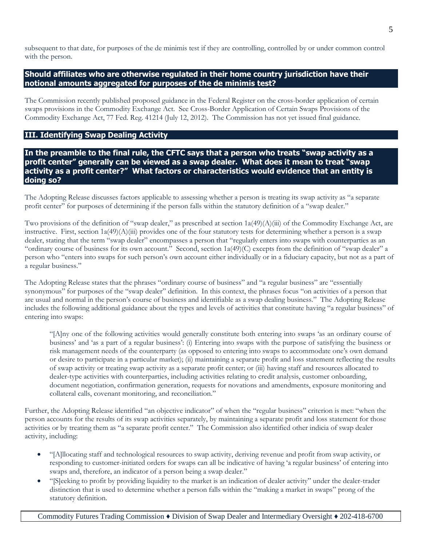subsequent to that date, for purposes of the de minimis test if they are controlling, controlled by or under common control with the person.

#### **Should affiliates who are otherwise regulated in their home country jurisdiction have their notional amounts aggregated for purposes of the de minimis test?**

The Commission recently published proposed guidance in the Federal Register on the cross-border application of certain swaps provisions in the Commodity Exchange Act. See Cross-Border Application of Certain Swaps Provisions of the Commodity Exchange Act, 77 Fed. Reg. 41214 (July 12, 2012). The Commission has not yet issued final guidance.

**III. Identifying Swap Dealing Activity**

**In the preamble to the final rule, the CFTC says that a person who treats "swap activity as a profit center" generally can be viewed as a swap dealer. What does it mean to treat "swap activity as a profit center?" What factors or characteristics would evidence that an entity is doing so?**

The Adopting Release discusses factors applicable to assessing whether a person is treating its swap activity as "a separate profit center" for purposes of determining if the person falls within the statutory definition of a "swap dealer."

Two provisions of the definition of "swap dealer," as prescribed at section  $1a(49)(A)(iii)$  of the Commodity Exchange Act, are instructive. First, section 1a(49)(A)(iii) provides one of the four statutory tests for determining whether a person is a swap dealer, stating that the term "swap dealer" encompasses a person that "regularly enters into swaps with counterparties as an "ordinary course of business for its own account." Second, section 1a(49)(C) excepts from the definition of "swap dealer" a person who "enters into swaps for such person's own account either individually or in a fiduciary capacity, but not as a part of a regular business."

The Adopting Release states that the phrases "ordinary course of business" and "a regular business" are "essentially synonymous" for purposes of the "swap dealer" definition. In this context, the phrases focus "on activities of a person that are usual and normal in the person's course of business and identifiable as a swap dealing business." The Adopting Release includes the following additional guidance about the types and levels of activities that constitute having "a regular business" of entering into swaps:

"[A]ny one of the following activities would generally constitute both entering into swaps 'as an ordinary course of business' and 'as a part of a regular business': (i) Entering into swaps with the purpose of satisfying the business or risk management needs of the counterparty (as opposed to entering into swaps to accommodate one's own demand or desire to participate in a particular market); (ii) maintaining a separate profit and loss statement reflecting the results of swap activity or treating swap activity as a separate profit center; or (iii) having staff and resources allocated to dealer-type activities with counterparties, including activities relating to credit analysis, customer onboarding, document negotiation, confirmation generation, requests for novations and amendments, exposure monitoring and collateral calls, covenant monitoring, and reconciliation."

Further, the Adopting Release identified "an objective indicator" of when the "regular business" criterion is met: "when the person accounts for the results of its swap activities separately, by maintaining a separate profit and loss statement for those activities or by treating them as "a separate profit center." The Commission also identified other indicia of swap dealer activity, including:

- "[A]llocating staff and technological resources to swap activity, deriving revenue and profit from swap activity, or responding to customer-initiated orders for swaps can all be indicative of having 'a regular business' of entering into swaps and, therefore, an indicator of a person being a swap dealer."
- "[S]eeking to profit by providing liquidity to the market is an indication of dealer activity" under the dealer-trader distinction that is used to determine whether a person falls within the "making a market in swaps" prong of the statutory definition.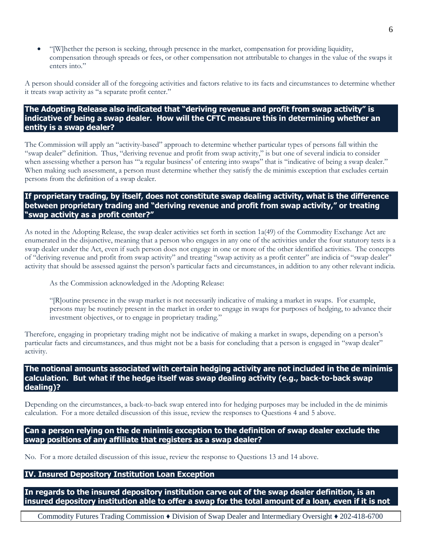"[W]hether the person is seeking, through presence in the market, compensation for providing liquidity, compensation through spreads or fees, or other compensation not attributable to changes in the value of the swaps it enters into."

A person should consider all of the foregoing activities and factors relative to its facts and circumstances to determine whether it treats swap activity as "a separate profit center."

## **The Adopting Release also indicated that "deriving revenue and profit from swap activity" is indicative of being a swap dealer. How will the CFTC measure this in determining whether an entity is a swap dealer?**

The Commission will apply an "activity-based" approach to determine whether particular types of persons fall within the "swap dealer" definition. Thus, "deriving revenue and profit from swap activity," is but one of several indicia to consider when assessing whether a person has "'a regular business' of entering into swaps" that is "indicative of being a swap dealer." When making such assessment, a person must determine whether they satisfy the de minimis exception that excludes certain persons from the definition of a swap dealer.

#### **If proprietary trading, by itself, does not constitute swap dealing activity, what is the difference between proprietary trading and "deriving revenue and profit from swap activity," or treating "swap activity as a profit center?"**

As noted in the Adopting Release, the swap dealer activities set forth in section 1a(49) of the Commodity Exchange Act are enumerated in the disjunctive, meaning that a person who engages in any one of the activities under the four statutory tests is a swap dealer under the Act, even if such person does not engage in one or more of the other identified activities. The concepts of "deriving revenue and profit from swap activity" and treating "swap activity as a profit center" are indicia of "swap dealer" activity that should be assessed against the person's particular facts and circumstances, in addition to any other relevant indicia.

As the Commission acknowledged in the Adopting Release:

"[R]outine presence in the swap market is not necessarily indicative of making a market in swaps. For example, persons may be routinely present in the market in order to engage in swaps for purposes of hedging, to advance their investment objectives, or to engage in proprietary trading."

Therefore, engaging in proprietary trading might not be indicative of making a market in swaps, depending on a person's particular facts and circumstances, and thus might not be a basis for concluding that a person is engaged in "swap dealer" activity.

#### **The notional amounts associated with certain hedging activity are not included in the de minimis calculation. But what if the hedge itself was swap dealing activity (e.g., back-to-back swap dealing)?**

Depending on the circumstances, a back-to-back swap entered into for hedging purposes may be included in the de minimis calculation. For a more detailed discussion of this issue, review the responses to Questions 4 and 5 above.

#### **Can a person relying on the de minimis exception to the definition of swap dealer exclude the swap positions of any affiliate that registers as a swap dealer?**

No. For a more detailed discussion of this issue, review the response to Questions 13 and 14 above.

### **IV. Insured Depository Institution Loan Exception**

**In regards to the insured depository institution carve out of the swap dealer definition, is an insured depository institution able to offer a swap for the total amount of a loan, even if it is not**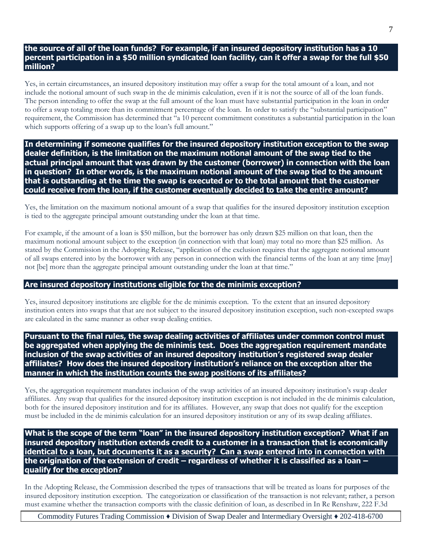#### **the source of all of the loan funds? For example, if an insured depository institution has a 10 percent participation in a \$50 million syndicated loan facility, can it offer a swap for the full \$50 million?**

Yes, in certain circumstances, an insured depository institution may offer a swap for the total amount of a loan, and not include the notional amount of such swap in the de minimis calculation, even if it is not the source of all of the loan funds. The person intending to offer the swap at the full amount of the loan must have substantial participation in the loan in order to offer a swap totaling more than its commitment percentage of the loan. In order to satisfy the "substantial participation" requirement, the Commission has determined that "a 10 percent commitment constitutes a substantial participation in the loan which supports offering of a swap up to the loan's full amount."

**In determining if someone qualifies for the insured depository institution exception to the swap dealer definition, is the limitation on the maximum notional amount of the swap tied to the actual principal amount that was drawn by the customer (borrower) in connection with the loan in question? In other words, is the maximum notional amount of the swap tied to the amount that is outstanding at the time the swap is executed or to the total amount that the customer could receive from the loan, if the customer eventually decided to take the entire amount?**

Yes, the limitation on the maximum notional amount of a swap that qualifies for the insured depository institution exception is tied to the aggregate principal amount outstanding under the loan at that time.

For example, if the amount of a loan is \$50 million, but the borrower has only drawn \$25 million on that loan, then the maximum notional amount subject to the exception (in connection with that loan) may total no more than \$25 million. As stated by the Commission in the Adopting Release, "application of the exclusion requires that the aggregate notional amount of all swaps entered into by the borrower with any person in connection with the financial terms of the loan at any time [may] not [be] more than the aggregate principal amount outstanding under the loan at that time."

#### **Are insured depository institutions eligible for the de minimis exception?**

Yes, insured depository institutions are eligible for the de minimis exception. To the extent that an insured depository institution enters into swaps that that are not subject to the insured depository institution exception, such non-excepted swaps are calculated in the same manner as other swap dealing entities.

**Pursuant to the final rules, the swap dealing activities of affiliates under common control must be aggregated when applying the de minimis test. Does the aggregation requirement mandate inclusion of the swap activities of an insured depository institution's registered swap dealer affiliates? How does the insured depository institution's reliance on the exception alter the manner in which the institution counts the swap positions of its affiliates?**

Yes, the aggregation requirement mandates inclusion of the swap activities of an insured depository institution's swap dealer affiliates. Any swap that qualifies for the insured depository institution exception is not included in the de minimis calculation, both for the insured depository institution and for its affiliates. However, any swap that does not qualify for the exception must be included in the de minimis calculation for an insured depository institution or any of its swap dealing affiliates.

**What is the scope of the term "loan" in the insured depository institution exception? What if an insured depository institution extends credit to a customer in a transaction that is economically identical to a loan, but documents it as a security? Can a swap entered into in connection with the origination of the extension of credit – regardless of whether it is classified as a loan – qualify for the exception?**

In the Adopting Release, the Commission described the types of transactions that will be treated as loans for purposes of the insured depository institution exception. The categorization or classification of the transaction is not relevant; rather, a person must examine whether the transaction comports with the classic definition of loan, as described in In Re Renshaw, 222 F.3d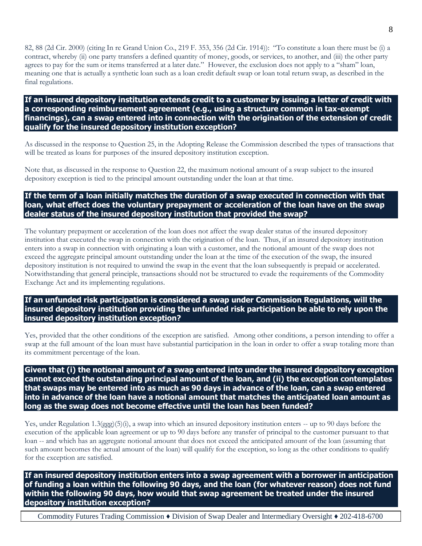82, 88 (2d Cir. 2000) (citing In re Grand Union Co., 219 F. 353, 356 (2d Cir. 1914)): "To constitute a loan there must be (i) a contract, whereby (ii) one party transfers a defined quantity of money, goods, or services, to another, and (iii) the other party agrees to pay for the sum or items transferred at a later date." However, the exclusion does not apply to a "sham" loan, meaning one that is actually a synthetic loan such as a loan credit default swap or loan total return swap, as described in the final regulations.

**If an insured depository institution extends credit to a customer by issuing a letter of credit with a corresponding reimbursement agreement (e.g., using a structure common in tax-exempt financings), can a swap entered into in connection with the origination of the extension of credit qualify for the insured depository institution exception?**

As discussed in the response to Question 25, in the Adopting Release the Commission described the types of transactions that will be treated as loans for purposes of the insured depository institution exception.

Note that, as discussed in the response to Question 22, the maximum notional amount of a swap subject to the insured depository exception is tied to the principal amount outstanding under the loan at that time.

# **If the term of a loan initially matches the duration of a swap executed in connection with that loan, what effect does the voluntary prepayment or acceleration of the loan have on the swap dealer status of the insured depository institution that provided the swap?**

The voluntary prepayment or acceleration of the loan does not affect the swap dealer status of the insured depository institution that executed the swap in connection with the origination of the loan. Thus, if an insured depository institution enters into a swap in connection with originating a loan with a customer, and the notional amount of the swap does not exceed the aggregate principal amount outstanding under the loan at the time of the execution of the swap, the insured depository institution is not required to unwind the swap in the event that the loan subsequently is prepaid or accelerated. Notwithstanding that general principle, transactions should not be structured to evade the requirements of the Commodity Exchange Act and its implementing regulations.

#### **If an unfunded risk participation is considered a swap under Commission Regulations, will the insured depository institution providing the unfunded risk participation be able to rely upon the insured depository institution exception?**

Yes, provided that the other conditions of the exception are satisfied. Among other conditions, a person intending to offer a swap at the full amount of the loan must have substantial participation in the loan in order to offer a swap totaling more than its commitment percentage of the loan.

**Given that (i) the notional amount of a swap entered into under the insured depository exception cannot exceed the outstanding principal amount of the loan, and (ii) the exception contemplates that swaps may be entered into as much as 90 days in advance of the loan, can a swap entered into in advance of the loan have a notional amount that matches the anticipated loan amount as long as the swap does not become effective until the loan has been funded?**

Yes, under Regulation 1.3(ggg)(5)(i), a swap into which an insured depository institution enters -- up to 90 days before the execution of the applicable loan agreement or up to 90 days before any transfer of principal to the customer pursuant to that loan -- and which has an aggregate notional amount that does not exceed the anticipated amount of the loan (assuming that such amount becomes the actual amount of the loan) will qualify for the exception, so long as the other conditions to qualify for the exception are satisfied.

**If an insured depository institution enters into a swap agreement with a borrower in anticipation of funding a loan within the following 90 days, and the loan (for whatever reason) does not fund within the following 90 days, how would that swap agreement be treated under the insured depository institution exception?**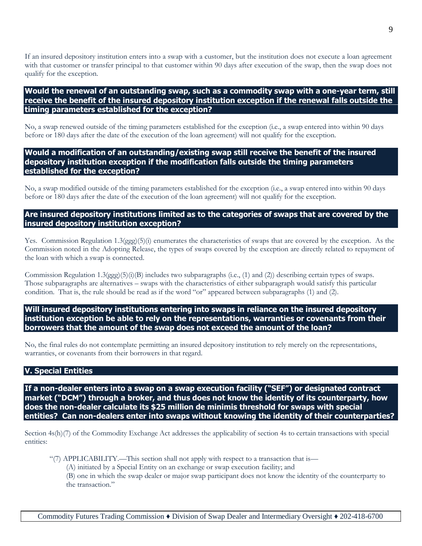If an insured depository institution enters into a swap with a customer, but the institution does not execute a loan agreement with that customer or transfer principal to that customer within 90 days after execution of the swap, then the swap does not qualify for the exception.

#### **Would the renewal of an outstanding swap, such as a commodity swap with a one-year term, still receive the benefit of the insured depository institution exception if the renewal falls outside the timing parameters established for the exception?**

No, a swap renewed outside of the timing parameters established for the exception (i.e., a swap entered into within 90 days before or 180 days after the date of the execution of the loan agreement) will not qualify for the exception.

#### **Would a modification of an outstanding/existing swap still receive the benefit of the insured depository institution exception if the modification falls outside the timing parameters established for the exception?**

No, a swap modified outside of the timing parameters established for the exception (i.e., a swap entered into within 90 days before or 180 days after the date of the execution of the loan agreement) will not qualify for the exception.

#### **Are insured depository institutions limited as to the categories of swaps that are covered by the insured depository institution exception?**

Yes. Commission Regulation 1.3(ggg)(5)(i) enumerates the characteristics of swaps that are covered by the exception. As the Commission noted in the Adopting Release, the types of swaps covered by the exception are directly related to repayment of the loan with which a swap is connected.

Commission Regulation 1.3(ggg)(5)(i)(B) includes two subparagraphs (i.e., (1) and (2)) describing certain types of swaps. Those subparagraphs are alternatives – swaps with the characteristics of either subparagraph would satisfy this particular condition. That is, the rule should be read as if the word "or" appeared between subparagraphs (1) and (2).

**Will insured depository institutions entering into swaps in reliance on the insured depository institution exception be able to rely on the representations, warranties or covenants from their borrowers that the amount of the swap does not exceed the amount of the loan?**

No, the final rules do not contemplate permitting an insured depository institution to rely merely on the representations, warranties, or covenants from their borrowers in that regard.

#### **V. Special Entities**

**If a non-dealer enters into a swap on a swap execution facility ("SEF") or designated contract market ("DCM") through a broker, and thus does not know the identity of its counterparty, how does the non-dealer calculate its \$25 million de minimis threshold for swaps with special entities? Can non-dealers enter into swaps without knowing the identity of their counterparties?**

Section 4s(h)(7) of the Commodity Exchange Act addresses the applicability of section 4s to certain transactions with special entities:

- "(7) APPLICABILITY.—This section shall not apply with respect to a transaction that is—
	- (A) initiated by a Special Entity on an exchange or swap execution facility; and
	- (B) one in which the swap dealer or major swap participant does not know the identity of the counterparty to the transaction."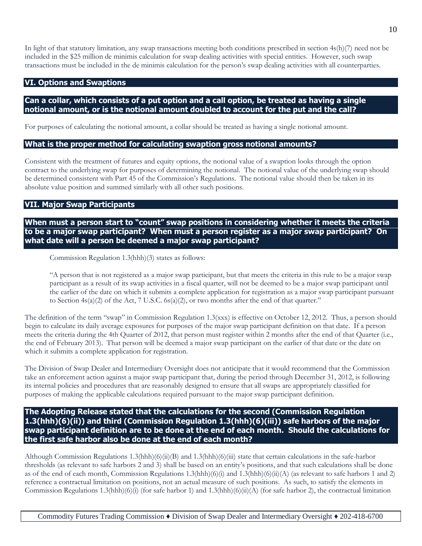In light of that statutory limitation, any swap transactions meeting both conditions prescribed in section  $4s(h)/7$  need not be included in the \$25 million de minimis calculation for swap dealing activities with special entities. However, such swap transactions must be included in the de minimis calculation for the person's swap dealing activities with all counterparties.

#### **VI. Options and Swaptions**

# **Can a collar, which consists of a put option and a call option, be treated as having a single notional amount, or is the notional amount doubled to account for the put and the call?**

For purposes of calculating the notional amount, a collar should be treated as having a single notional amount.

#### **What is the proper method for calculating swaption gross notional amounts?**

Consistent with the treatment of futures and equity options, the notional value of a swaption looks through the option contract to the underlying swap for purposes of determining the notional. The notional value of the underlying swap should be determined consistent with Part 45 of the Commission's Regulations. The notional value should then be taken in its absolute value position and summed similarly with all other such positions.

# **VII. Major Swap Participants**

**When must a person start to "count" swap positions in considering whether it meets the criteria to be a major swap participant? When must a person register as a major swap participant? On what date will a person be deemed a major swap participant?**

Commission Regulation 1.3(hhh)(3) states as follows:

"A person that is not registered as a major swap participant, but that meets the criteria in this rule to be a major swap participant as a result of its swap activities in a fiscal quarter, will not be deemed to be a major swap participant until the earlier of the date on which it submits a complete application for registration as a major swap participant pursuant to Section  $4s(a)(2)$  of the Act, 7 U.S.C.  $6s(a)(2)$ , or two months after the end of that quarter."

The definition of the term "swap" in Commission Regulation 1.3(xxx) is effective on October 12, 2012. Thus, a person should begin to calculate its daily average exposures for purposes of the major swap participant definition on that date. If a person meets the criteria during the 4th Quarter of 2012, that person must register within 2 months after the end of that Quarter (i.e., the end of February 2013). That person will be deemed a major swap participant on the earlier of that date or the date on which it submits a complete application for registration.

The Division of Swap Dealer and Intermediary Oversight does not anticipate that it would recommend that the Commission take an enforcement action against a major swap participant that, during the period through December 31, 2012, is following its internal policies and procedures that are reasonably designed to ensure that all swaps are appropriately classified for purposes of making the applicable calculations required pursuant to the major swap participant definition.

#### **The Adopting Release stated that the calculations for the second (Commission Regulation 1.3(hhh)(6)(ii)) and third (Commission Regulation 1.3(hhh)(6)(iii)) safe harbors of the major swap participant definition are to be done at the end of each month. Should the calculations for the first safe harbor also be done at the end of each month?**

Although Commission Regulations 1.3(hhh)(6)(ii)(B) and 1.3(hhh)(6)(iii) state that certain calculations in the safe-harbor thresholds (as relevant to safe harbors 2 and 3) shall be based on an entity's positions, and that such calculations shall be done as of the end of each month, Commission Regulations 1.3(hhh)(6)(i) and 1.3(hhh)(6)(ii)(A) (as relevant to safe harbors 1 and 2) reference a contractual limitation on positions, not an actual measure of such positions. As such, to satisfy the elements in Commission Regulations 1.3(hhh)(6)(i) (for safe harbor 1) and 1.3(hhh)(6)(ii)(A) (for safe harbor 2), the contractual limitation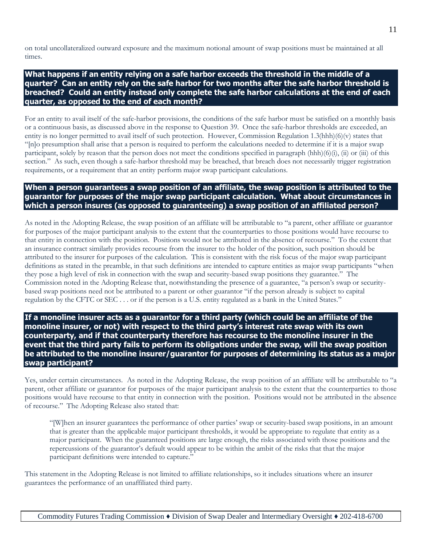on total uncollateralized outward exposure and the maximum notional amount of swap positions must be maintained at all times.

**What happens if an entity relying on a safe harbor exceeds the threshold in the middle of a quarter? Can an entity rely on the safe harbor for two months after the safe harbor threshold is breached? Could an entity instead only complete the safe harbor calculations at the end of each quarter, as opposed to the end of each month?**

For an entity to avail itself of the safe-harbor provisions, the conditions of the safe harbor must be satisfied on a monthly basis or a continuous basis, as discussed above in the response to Question 39. Once the safe-harbor thresholds are exceeded, an entity is no longer permitted to avail itself of such protection. However, Commission Regulation 1.3(hhh)(6)(v) states that "[n]o presumption shall arise that a person is required to perform the calculations needed to determine if it is a major swap participant, solely by reason that the person does not meet the conditions specified in paragraph (hhh) $(6)(i)$ , (ii) or (iii) of this section." As such, even though a safe-harbor threshold may be breached, that breach does not necessarily trigger registration requirements, or a requirement that an entity perform major swap participant calculations.

#### **When a person guarantees a swap position of an affiliate, the swap position is attributed to the guarantor for purposes of the major swap participant calculation. What about circumstances in which a person insures (as opposed to guaranteeing) a swap position of an affiliated person?**

As noted in the Adopting Release, the swap position of an affiliate will be attributable to "a parent, other affiliate or guarantor for purposes of the major participant analysis to the extent that the counterparties to those positions would have recourse to that entity in connection with the position. Positions would not be attributed in the absence of recourse." To the extent that an insurance contract similarly provides recourse from the insurer to the holder of the position, such position should be attributed to the insurer for purposes of the calculation. This is consistent with the risk focus of the major swap participant definitions as stated in the preamble, in that such definitions are intended to capture entities as major swap participants "when they pose a high level of risk in connection with the swap and security-based swap positions they guarantee." The Commission noted in the Adopting Release that, notwithstanding the presence of a guarantee, "a person's swap or securitybased swap positions need not be attributed to a parent or other guarantor "if the person already is subject to capital regulation by the CFTC or SEC . . . or if the person is a U.S. entity regulated as a bank in the United States."

**If a monoline insurer acts as a guarantor for a third party (which could be an affiliate of the monoline insurer, or not) with respect to the third party's interest rate swap with its own counterparty, and if that counterparty therefore has recourse to the monoline insurer in the event that the third party fails to perform its obligations under the swap, will the swap position be attributed to the monoline insurer/guarantor for purposes of determining its status as a major swap participant?**

Yes, under certain circumstances. As noted in the Adopting Release, the swap position of an affiliate will be attributable to "a parent, other affiliate or guarantor for purposes of the major participant analysis to the extent that the counterparties to those positions would have recourse to that entity in connection with the position. Positions would not be attributed in the absence of recourse." The Adopting Release also stated that:

"[W]hen an insurer guarantees the performance of other parties' swap or security-based swap positions, in an amount that is greater than the applicable major participant thresholds, it would be appropriate to regulate that entity as a major participant. When the guaranteed positions are large enough, the risks associated with those positions and the repercussions of the guarantor's default would appear to be within the ambit of the risks that that the major participant definitions were intended to capture."

This statement in the Adopting Release is not limited to affiliate relationships, so it includes situations where an insurer guarantees the performance of an unaffiliated third party.